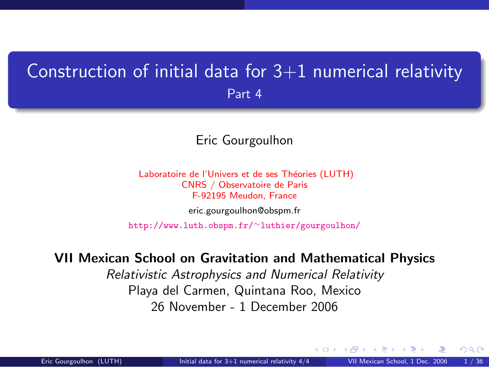### <span id="page-0-1"></span>Construction of initial data for  $3+1$  numerical relativity Part 4

#### Eric Gourgoulhon

Laboratoire de l'Univers et de ses Théories (LUTH) CNRS / Observatoire de Paris F-92195 Meudon, France [eric.gourgoulhon@obspm.fr](mailto:eric.gourgoulhon@obspm.fr)

[http://www.luth.obspm.fr/](http://www.luth.obspm.fr/~luthier/gourgoulhon/)∼luthier/gourgoulhon/

#### VII Mexican School on Gravitation and Mathematical Physics

Relativistic Astrophysics and Numerical Relativity Playa del Carmen, Quintana Roo, Mexico 26 November - 1 December 2006

<span id="page-0-0"></span> $\Omega$ 

**← ロ ▶ → イ 同**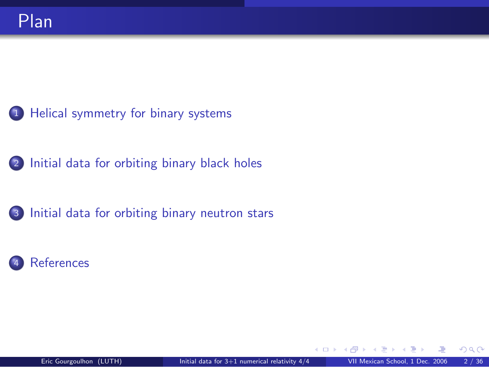- 1 [Helical symmetry for binary systems](#page-2-0)
- 2 [Initial data for orbiting binary black holes](#page-8-0)
- 3 [Initial data for orbiting binary neutron stars](#page-25-0)
- **[References](#page-33-0)**

4 0 8 1

 $299$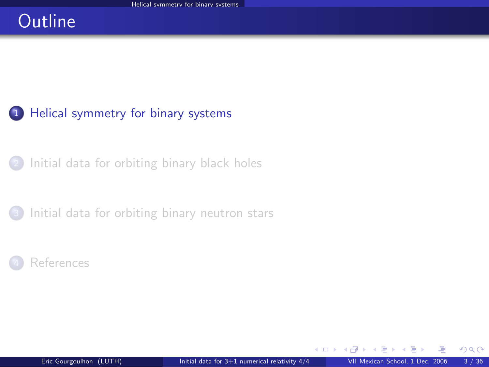### **Outline**

#### 1 [Helical symmetry for binary systems](#page-2-0)

<sup>2</sup> [Initial data for orbiting binary black holes](#page-8-0)

[Initial data for orbiting binary neutron stars](#page-25-0)



4 0 8 1

<span id="page-2-0"></span> $299$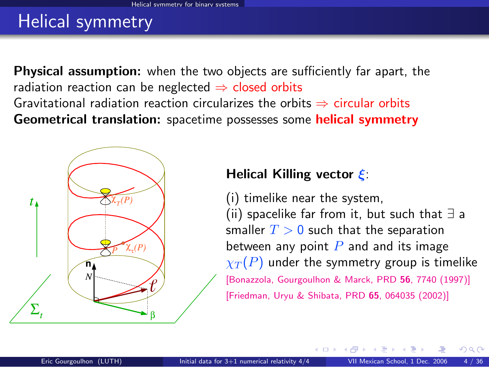## Helical symmetry

**Physical assumption:** when the two objects are sufficiently far apart, the radiation reaction can be neglected  $\Rightarrow$  closed orbits Gravitational radiation reaction circularizes the orbits  $\Rightarrow$  circular orbits Geometrical translation: spacetime possesses some helical symmetry



#### Helical Killing vector ξ:

(i) timelike near the system, (ii) spacelike far from it, but such that ∃ a smaller  $T > 0$  such that the separation between any point  $P$  and and its image  $\chi_T(P)$  under the symmetry group is timelike [\[Bonazzola, Gourgoulhon & Marck, PRD](http://prola.aps.org/abstract/PRD/v56/i12/p7740_1) 56, 7740 (1997)] [\[Friedman, Uryu & Shibata, PRD](http://publish.aps.org/abstract/PRD/v65/e064035) 65, 064035 (2002)]

**← ロ ▶ → イ 同**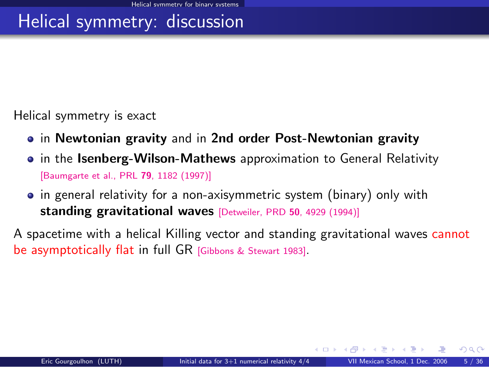## Helical symmetry: discussion

Helical symmetry is exact

- in Newtonian gravity and in 2nd order Post-Newtonian gravity
- in the Isenberg-Wilson-Mathews approximation to General Relativity [\[Baumgarte et al., PRL](http://prola.aps.org/abstract/PRL/v79/i7/p1182_1) 79, 1182 (1997)]
- in general relativity for a non-axisymmetric system (binary) only with standing gravitational waves [\[Detweiler, PRD](#page-0-1) 50, 4929 (1994)]

A spacetime with a helical Killing vector and standing gravitational waves cannot be asymptotically flat in full GR [\[Gibbons & Stewart 1983\]](#page-0-1).

 $\Omega$ 

**K ロ ト K 何 ト K ヨ ト**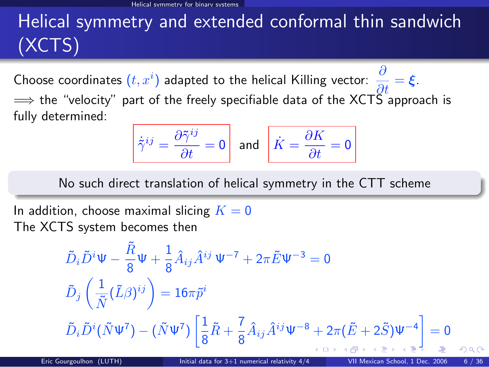# Helical symmetry and extended conformal thin sandwich (XCTS)

Choose coordinates  $(t, x^i)$  adapted to the helical Killing vector:  $\frac{\partial}{\partial t} = \xi$ .  $\implies$  the "velocity" part of the freely specifiable data of the XCTS approach is fully determined:

$$
\dot{\tilde{\gamma}}^{ij} = \frac{\partial \tilde{\gamma}^{ij}}{\partial t} = 0 \quad \text{and} \quad \boxed{\dot{K} = \frac{\partial K}{\partial t} = 0}
$$

No such direct translation of helical symmetry in the CTT scheme

In addition, choose maximal slicing  $K = 0$ The XCTS system becomes then

$$
\tilde{D}_{i}\tilde{D}^{i}\Psi - \frac{\tilde{R}}{8}\Psi + \frac{1}{8}\hat{A}_{ij}\hat{A}^{ij}\Psi^{-7} + 2\pi \tilde{E}\Psi^{-3} = 0
$$
\n
$$
\tilde{D}_{j}\left(\frac{1}{\tilde{N}}(\tilde{L}\beta)^{ij}\right) = 16\pi \tilde{p}^{i}
$$
\n
$$
\tilde{D}_{i}\tilde{D}^{i}(\tilde{N}\Psi^{7}) - (\tilde{N}\Psi^{7})\left[\frac{1}{8}\tilde{R} + \frac{7}{8}\hat{A}_{ij}\hat{A}^{ij}\Psi^{-8} + 2\pi(\tilde{E} + 2\tilde{S})\Psi^{-4}\right] = 0
$$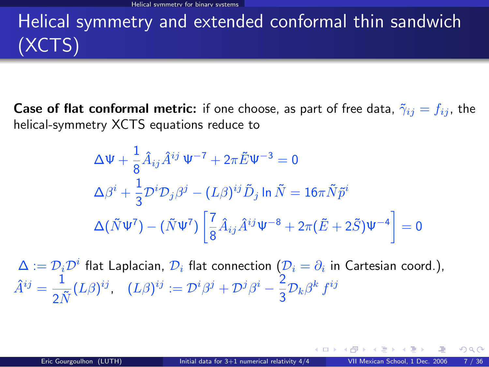# Helical symmetry and extended conformal thin sandwich (XCTS)

**Case of flat conformal metric:** if one choose, as part of free data,  $\tilde{\gamma}_{ij} = f_{ij}$ , the helical-symmetry XCTS equations reduce to

$$
\Delta \Psi + \frac{1}{8} \hat{A}_{ij} \hat{A}^{ij} \Psi^{-7} + 2\pi \tilde{E} \Psi^{-3} = 0
$$
  
\n
$$
\Delta \beta^{i} + \frac{1}{3} \mathcal{D}^{i} \mathcal{D}_{j} \beta^{j} - (L\beta)^{ij} \tilde{D}_{j} \ln \tilde{N} = 16\pi \tilde{N} \tilde{p}^{i}
$$
  
\n
$$
\Delta (\tilde{N} \Psi^{7}) - (\tilde{N} \Psi^{7}) \left[ \frac{7}{8} \hat{A}_{ij} \hat{A}^{ij} \Psi^{-8} + 2\pi (\tilde{E} + 2\tilde{S}) \Psi^{-4} \right] = 0
$$

 $\Delta:=\mathcal{D}_i\mathcal{D}^i$  flat Laplacian,  $\mathcal{D}_i$  flat connection  $(\mathcal{D}_i=\partial_i$  in Cartesian coord.),  $\hat{A}^{ij} = \frac{1}{\sigma^2}$  $\frac{1}{2\tilde{N}}(L\beta)^{ij},\ \ \ (L\beta)^{ij}:=\mathcal{D}^i\beta^j+\mathcal{D}^j\beta^i-\frac{2}{3}$  $\frac{2}{3}\mathcal{D}_k\beta^k f^{ij}$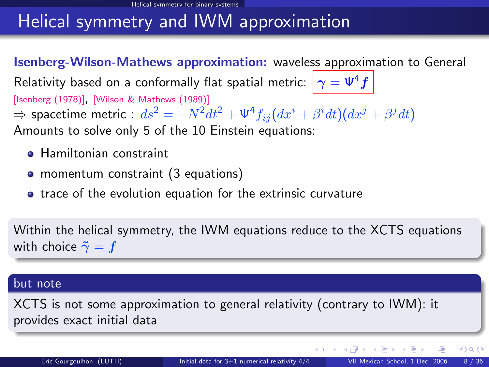### Helical symmetry and IWM approximation

Isenberg-Wilson-Mathews approximation: waveless approximation to General Relativity based on a conformally flat spatial metric:  $|\gamma = \Psi^4 f|$ [\[Isenberg \(1978\)\]](#page-0-1), [\[Wilson & Mathews \(1989\)\]](#page-0-1)  $\Rightarrow$  spacetime metric :  $ds^2=-N^2dt^2+\Psi^4f_{ij}(dx^i+\beta^i dt)(dx^j+\beta^j dt)$ Amounts to solve only 5 of the 10 Einstein equations:

- **Hamiltonian constraint**
- momentum constraint (3 equations)
- **•** trace of the evolution equation for the extrinsic curvature

Within the helical symmetry, the IWM equations reduce to the XCTS equations with choice  $\tilde{\gamma} = f$ 

#### but note

XCTS is not some approximation to general relativity (contrary to IWM): it provides exact initial data

 $\Omega$ 

**K ロ ト K 何 ト K ヨ ト**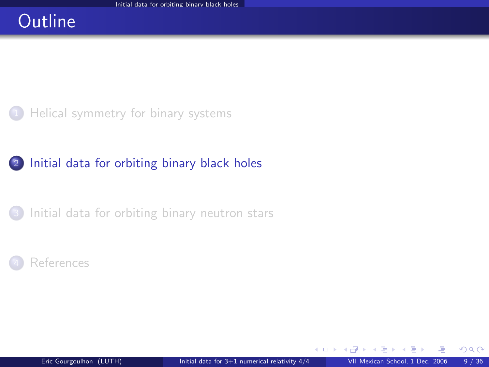### **Outline**

[Helical symmetry for binary systems](#page-2-0)

#### 2 [Initial data for orbiting binary black holes](#page-8-0)

[Initial data for orbiting binary neutron stars](#page-25-0)



<span id="page-8-0"></span>4 0 8 1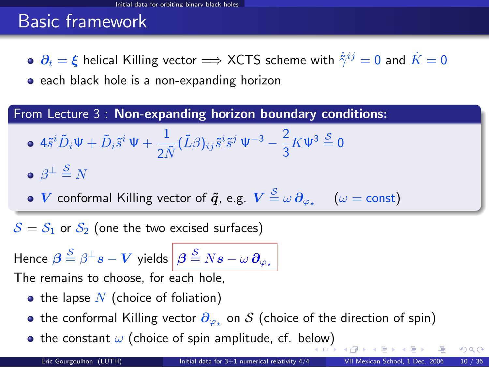### Basic framework

 $\partial_t = \xi$  helical Killing vector  $\Longrightarrow$  XCTS scheme with  $\dot{\tilde{\gamma}}^{ij} = 0$  and  $\dot{K} = 0$ 

• each black hole is a non-expanding horizon

From Lecture 3 : Non-expanding horizon boundary conditions:

$$
\bullet \ 4\tilde{s}^{i}\tilde{D}_{i}\Psi + \tilde{D}_{i}\tilde{s}^{i}\Psi + \frac{1}{2\tilde{N}}(\tilde{L}\beta)_{ij}\tilde{s}^{i}\tilde{s}^{j}\Psi^{-3} - \frac{2}{3}K\Psi^{3}\stackrel{S}{=} 0
$$

$$
\bullet \ \beta^{\perp} \stackrel{\mathcal{S}}{=} N
$$

 $V$  conformal Killing vector of  $\bm{\tilde q}$ , e.g.  $V\stackrel{\mathcal{S}}{=} \omega\,\partial_{\varphi_\star}\,\,\,\,\,\,\,\,(\omega = \text{const})$ 

 $S = S_1$  or  $S_2$  (one the two excised surfaces)

Hence  $\bm{\beta} \stackrel{\mathcal{S}}{=} \beta^\perp s - \bm{V}$  yields  $\left|\bm{\beta} \stackrel{\mathcal{S}}{=} N\bm{s} - \omega \, \bm{\partial}_{\varphi_\star}\right|$ The remains to choose, for each hole,

- the lapse  $N$  (choice of foliation)
- the conformal Killing vector  $\partial_{\varphi_\star}$  on  $\mathcal S$  (choice of the direction of spin)
- the constant  $\omega$  (choice of spin amplitude, cf. be[low](#page-8-0)[\)](#page-10-0)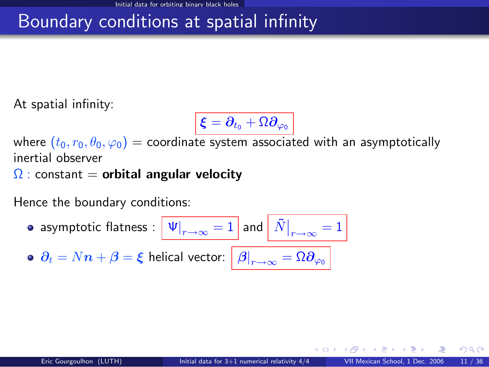## Boundary conditions at spatial infinity

At spatial infinity:

<span id="page-10-0"></span>
$$
\overline{\boldsymbol{\xi}=\boldsymbol{\partial}_{t_0}+\Omega\boldsymbol{\partial}_{\varphi_0}}
$$

where  $(t_0, r_0, \theta_0, \varphi_0)$  = coordinate system associated with an asymptotically inertial observer

 $\Omega$  : constant = orbital angular velocity

Hence the boundary conditions:

\n- asymptotic flatness: 
$$
\boxed{\Psi|_{r\to\infty} = 1}
$$
 and  $\boxed{\tilde{N}|_{r\to\infty} = 1}$
\n- $\partial_t = Nn + \beta = \xi$  helical vector:  $\boxed{\beta|_{r\to\infty} = \Omega \partial_{\varphi_0}}$
\n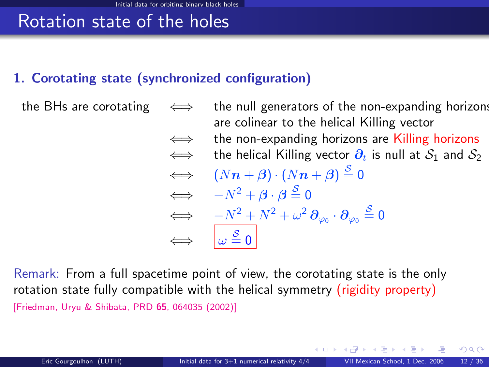### Rotation state of the holes

#### 1. Corotating state (synchronized configuration)

the BHs are corotating  $\iff$  the null generators of the non-expanding horizons are colinear to the helical Killing vector  $\iff$  the non-expanding horizons are Killing horizons  $\iff$  the helical Killing vector  $\partial_t$  is null at  $S_1$  and  $S_2$  $\iff (Nn + \beta) \cdot (Nn + \beta) \stackrel{S}{=} 0$  $\iff -N^2 + \beta \cdot \beta \stackrel{S}{=} 0$  $\qquad \Longleftrightarrow \quad \, -N^2+N^2+\omega^2\,\pmb{\partial}_{\varphi_0}\cdot\pmb{\partial}_{\varphi_0}\stackrel{\mathcal{S}}{=}0$  $\Leftrightarrow$   $\omega \stackrel{\mathcal{S}}{=} 0$ 

Remark: From a full spacetime point of view, the corotating state is the only rotation state fully compatible with the helical symmetry (rigidity property) [\[Friedman, Uryu & Shibata, PRD](http://publish.aps.org/abstract/PRD/v65/e064035) 65, 064035 (2002)]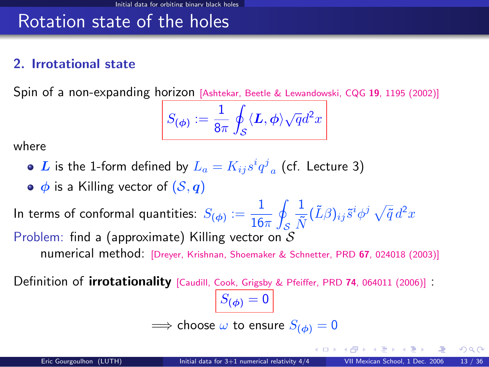### Rotation state of the holes

#### 2. Irrotational state

Spin of a non-expanding horizon [\[Ashtekar, Beetle & Lewandowski, CQG](#page-0-1) 19, 1195 (2002)]

$$
S_{(\phi)}:=\frac{1}{8\pi}\oint_{\mathcal{S}}\langle\boldsymbol{L},\phi\rangle\sqrt{q}d^{2}x
$$

where

- $\boldsymbol{L}$  is the 1-form defined by  $L_a = K_{ij} s^i q^j{}_a$  (cf. Lecture 3)
- $\bullet$   $\phi$  is a Killing vector of  $(S, q)$

In terms of conformal quantities:  $S_{(\phi)}:=\dfrac{1}{16}$  $16\pi$ l. S 1  $\frac{1}{\tilde{N}}(\tilde{L}\beta)_{ij}\tilde{s}^i\phi^j\,\sqrt{\tilde{q}}\,d^2x$ Problem: find a (approximate) Killing vector on  $S$ numerical method: [\[Dreyer, Krishnan, Shoemaker & Schnetter, PRD](http://link.aps.org/abstract/PRD/v67/e024018) <sup>67</sup>, 024018 (2003)]

Definition of *irrotationality* [\[Caudill, Cook, Grigsby & Pfeiffer, PRD](http://link.aps.org/abstract/PRD/v74/e064011) 74, 064011 (2006)] :

 $S_{(\phi)} = 0$  $\implies$  choose  $\omega$  to ensure  $S_{(\phi)} = 0$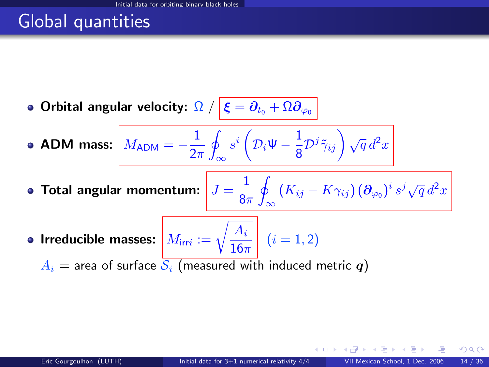### Global quantities

 $\bullet$  Orbital angular velocity:  $\Omega \; / \; \lvert \; \xi = \partial_{t_0} + \Omega \partial_{\varphi_0} \; \rvert$ 

ADM mass:  $M_{\rm ADM} = -\frac{1}{2s}$  $2\pi$ I ∞  $s^i\left( \mathcal{D}_i\mathsf{\Psi}-\frac{1}{\mathtt{\circ}} \right)$  $\frac{1}{8} {\cal D}^j \tilde{\gamma}_{ij} \bigg) \sqrt{q} \, d^2x$ 

- Total angular momentum:  $J=\frac{1}{2}$  $8\pi$ l.  $\int\limits_{-\infty}^{\infty}\left(K_{ij}-K\gamma_{ij}\right)\left(\boldsymbol{\partial}_{\varphi_0}\right)^i s^j\sqrt{q}\,d^2x$
- Irreducible masses:  $M_{\text{irr}i} := \sqrt{\frac{A_i}{16\pi}}$  $\frac{1+i}{16\pi}$   $(i = 1, 2)$

 $A_i$  = area of surface  $S_i$  (measured with induced metric q)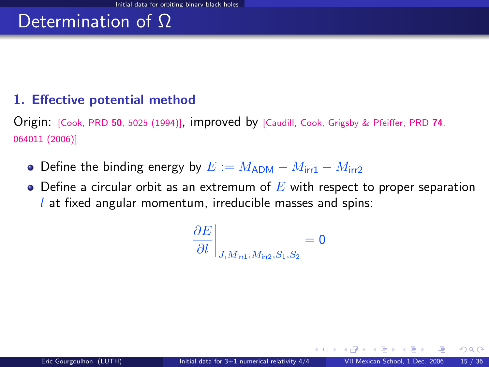#### 1. Effective potential method

Origin: [Cook, PRD <sup>50</sup>[, 5025 \(1994\)\]](http://cornell.mirror.aps.org/abstract/PRD/v50/i8/p5025_1), improved by [\[Caudill, Cook, Grigsby & Pfeiffer, PRD](http://link.aps.org/abstract/PRD/v74/e064011) <sup>74</sup>, [064011 \(2006\)\]](http://link.aps.org/abstract/PRD/v74/e064011)

- Define the binding energy by  $E := M_{\rm ADM} M_{\rm irr1} M_{\rm irr2}$
- $\bullet$  Define a circular orbit as an extremum of E with respect to proper separation  $l$  at fixed angular momentum, irreducible masses and spins:

$$
\left. \frac{\partial E}{\partial l} \right|_{J, M_{\text{irr1}}, M_{\text{irr2}}, S_1, S_2} = 0
$$

**← ロ ▶ → イ 同**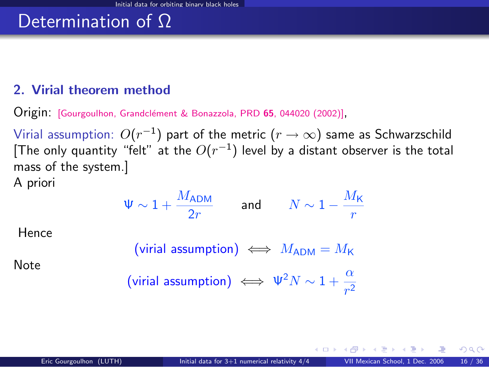#### 2. Virial theorem method

Origin: [\[Gourgoulhon, Grandcl´ement & Bonazzola, PRD](http://publish.aps.org/abstract/PRD/v65/e044020) <sup>65</sup>, 044020 (2002)],

Virial assumption:  $O(r^{-1})$  part of the metric  $(r\rightarrow\infty)$  same as Schwarzschild [The only quantity "felt" at the  $O(r^{-1})$  level by a distant observer is the total mass of the system.]

A priori

$$
\Psi \sim 1 + \frac{M_{\rm ADM}}{2r} \qquad \text{and} \qquad N \sim 1 - \frac{M_{\rm K}}{r}
$$

Hence

$$
(\text{virial assumption}) \iff M_{\text{ADM}} = M_{\text{K}}
$$

Note

$$
\text{(virial assumption)} \iff \Psi^2 N \sim 1 + \frac{\alpha}{r^2}
$$

4 **D F**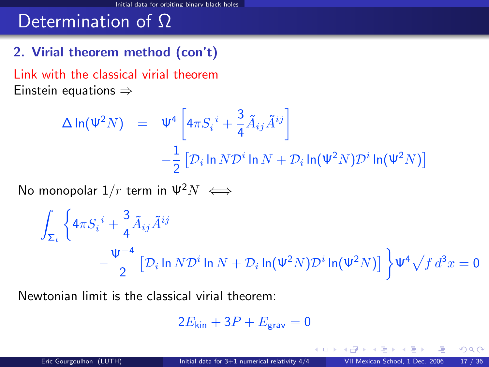#### 2. Virial theorem method (con't)

Link with the classical virial theorem Einstein equations ⇒

$$
\Delta \ln(\Psi^2 N) = \Psi^4 \left[ 4\pi S_i^i + \frac{3}{4} \tilde{A}_{ij} \tilde{A}^{ij} \right]
$$
  

$$
- \frac{1}{2} \left[ \mathcal{D}_i \ln N \mathcal{D}^i \ln N + \mathcal{D}_i \ln(\Psi^2 N) \mathcal{D}^i \ln(\Psi^2 N) \right]
$$

No monopolar  $1/r$  term in  $\Psi^2 N \iff$ 

$$
\int_{\Sigma_t} \left\{ 4\pi S_i^i + \frac{3}{4} \tilde{A}_{ij} \tilde{A}^{ij} - \frac{\Psi^{-4}}{2} \left[ \mathcal{D}_i \ln N \mathcal{D}^i \ln N + \mathcal{D}_i \ln(\Psi^2 N) \mathcal{D}^i \ln(\Psi^2 N) \right] \right\} \Psi^4 \sqrt{f} d^3 x = 0
$$

Newtonian limit is the classical virial theorem:

$$
2E_{\rm kin} + 3P + E_{\rm grav} = 0
$$

 $\Omega$ 

4 0 8 4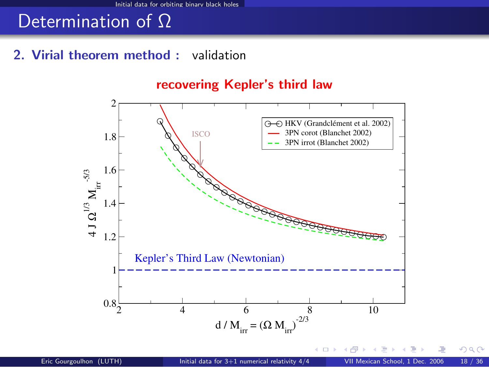#### 2. Virial theorem method : validation

#### 2 4 6 8 10 d /  $M_{irr} = (\Omega M_{irr})^{2/3}$  $0.8<sub>z</sub>$  $1\leftarrow$ 1.2 1.4 1.6 1.8  $\mathbb{2} \Gamma$  $\frac{1}{4}$  $\boldsymbol{\Omega}^{1/3} \, \boldsymbol{\mathrm{M}_{\mathrm{irr}}}^{-5/3}$ Kepler's Third Law (Newtonian) ISCO HKV (Grandclément et al. 2002) 3PN corot (Blanchet 2002) 3PN irrot (Blanchet 2002)

recovering Kepler's third law

そロト

 $QQ$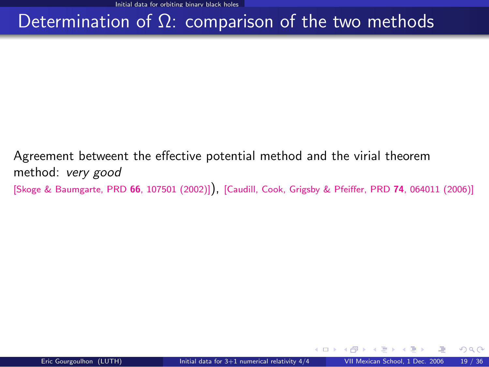### Determination of  $Ω$ : comparison of the two methods

Agreement betweent the effective potential method and the virial theorem method: very good [\[Skoge & Baumgarte, PRD](http://publish.aps.org/abstract/PRD/v66/e107501) <sup>66</sup>, 107501 (2002)]), [\[Caudill, Cook, Grigsby & Pfeiffer, PRD](http://link.aps.org/abstract/PRD/v74/e064011) <sup>74</sup>, 064011 (2006)]

そロト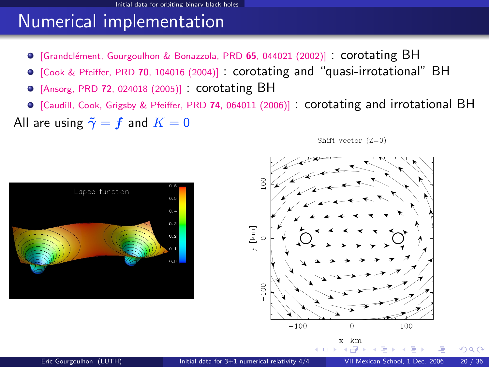### Numerical implementation

- $\bullet$  [Grandclément, Gourgoulhon & Bonazzola, PRD 65, 044021 (2002)] : corotating BH
- [\[Cook & Pfeiffer, PRD](http://publish.aps.org/abstract/PRD/v70/e104016) <sup>70</sup>, 104016 (2004)] : corotating and "quasi-irrotational" BH
- [Ansorg, PRD <sup>72</sup>[, 024018 \(2005\)\]](http://publish.aps.org/abstract/PRD/v72/024018) : corotating BH
- [\[Caudill, Cook, Grigsby & Pfeiffer, PRD](http://link.aps.org/abstract/PRD/v74/e064011) <sup>74</sup>, 064011 (2006)] : corotating and irrotational BH

All are using  $\tilde{\gamma} = f$  and  $K = 0$ 

Shift vector  $(Z=0)$ 

 $\Omega$ 

x [km]





100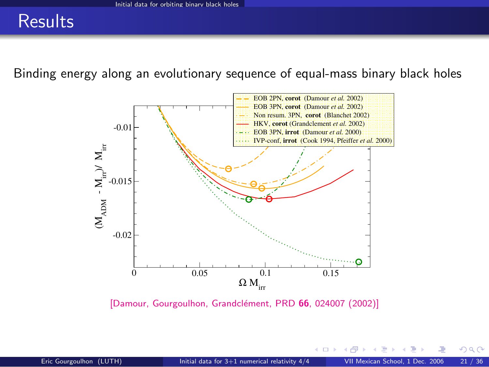### **Results**

Binding energy along an evolutionary sequence of equal-mass binary black holes



[Damour, Gourgoulhon, Grandclément, PRD 66, 024007 (2002)]

4 0 8 1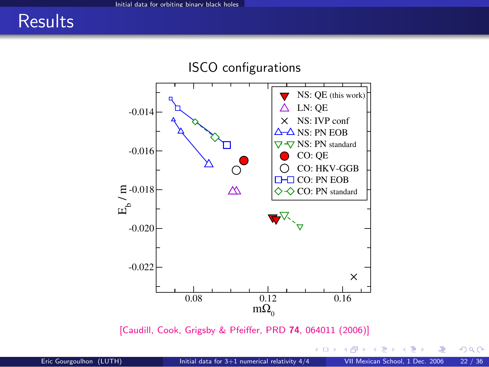### **Results**



[\[Caudill, Cook, Grigsby & Pfeiffer, PRD](http://link.aps.org/abstract/PRD/v74/e064011) 74, 064011 (2006)]

4 0 8 1 ×. a  $299$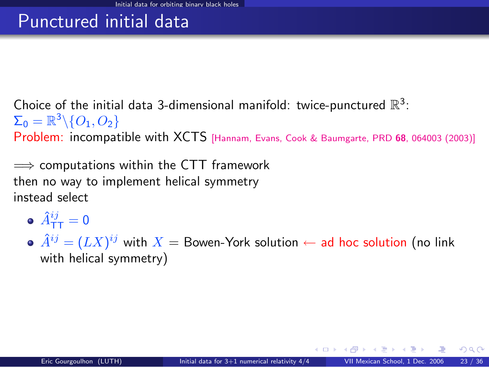### Punctured initial data

Choice of the initial data 3-dimensional manifold: twice-punctured  $\mathbb{R}^3$ :  $\Sigma_0 = \mathbb{R}^3 \backslash \{O_1,O_2\}$ 

Problem: incompatible with XCTS [\[Hannam, Evans, Cook & Baumgarte, PRD](http://link.aps.org/abstract/PRD/v68/e064003) <sup>68</sup>, 064003 (2003)]

 $\implies$  computations within the CTT framework then no way to implement helical symmetry instead select

- $\hat{A}^{ij}_{\mathsf{T}\mathsf{T}} = \mathsf{0}$
- $\hat{A}^{ij} = (L X)^{ij}$  with  $X =$  Bowen-York solution  $\leftarrow$  ad hoc solution (no link with helical symmetry)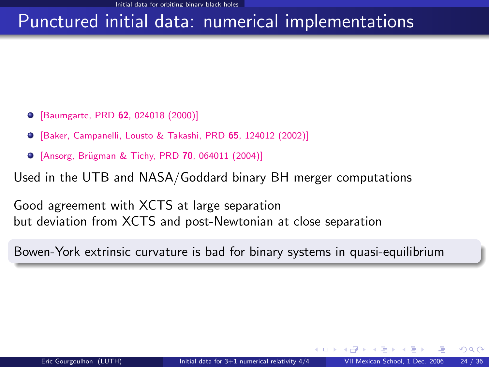### Punctured initial data: numerical implementations

- [\[Baumgarte, PRD](http://publish.aps.org/abstract/PRD/v62/e024018) 62, 024018 (2000)]
- [\[Baker, Campanelli, Lousto & Takashi, PRD](http://publish.aps.org/abstract/PRD/v65/e124012) 65, 124012 (2002)]
- **•** [Ansorg, Brügman & Tichy, PRD 70, 064011 (2004)]

Used in the UTB and NASA/Goddard binary BH merger computations

Good agreement with XCTS at large separation but deviation from XCTS and post-Newtonian at close separation

Bowen-York extrinsic curvature is bad for binary systems in quasi-equilibrium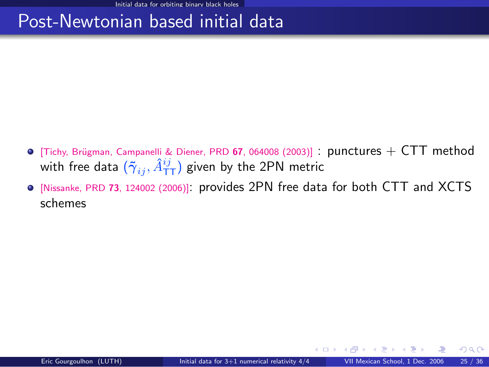### Post-Newtonian based initial data

- $\bullet$  [Tichy, Brügman, Campanelli & Diener, PRD 67, 064008 (2003)] : punctures  $+$  CTT method with free data  $(\tilde{\gamma}_{ij}, \hat{A}^{ij}_{\text{\sf TT}})$  given by the 2PN metric
- [Nissanke, PRD <sup>73</sup>[, 124002 \(2006\)\]](http://publish.aps.org/abstract/PRD/v73/e124002): provides 2PN free data for both CTT and XCTS schemes

**← ロ ▶ → イ 同**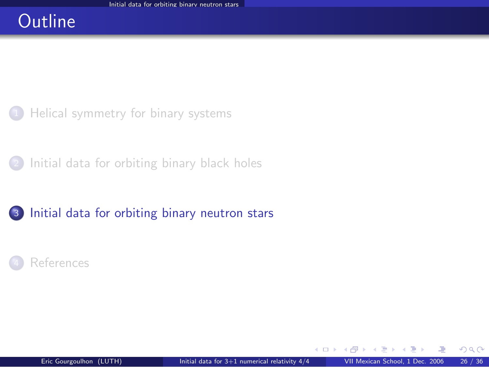### **Outline**

[Helical symmetry for binary systems](#page-2-0)

[Initial data for orbiting binary black holes](#page-8-0)

#### 3 [Initial data for orbiting binary neutron stars](#page-25-0)



<span id="page-25-0"></span>4 0 8 1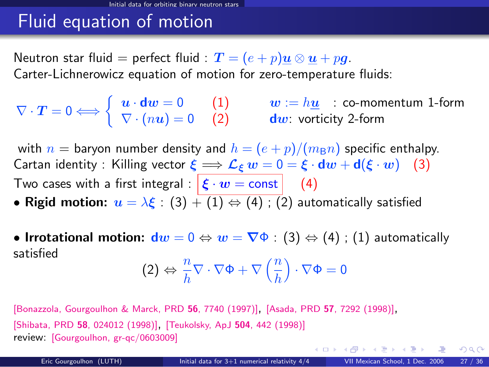### Fluid equation of motion

Neutron star fluid = perfect fluid :  $\bm{T} = (e+p)\bm{u} \otimes \bm{u} + p\bm{g}$ . Carter-Lichnerowicz equation of motion for zero-temperature fluids:

$$
\nabla \cdot \boldsymbol{T} = 0 \Longleftrightarrow \left\{ \begin{array}{ll} \boldsymbol{u} \cdot \boldsymbol{d w} = 0 & (1) & \boldsymbol{w} := h \underline{\boldsymbol{u}} \quad : \text{ co-momentum 1-form} \\ \nabla \cdot (n \boldsymbol{u}) = 0 & (2) & \boldsymbol{d w}: \text{ vorticity 2-form} \end{array} \right.
$$

with  $n =$  baryon number density and  $h = (e + p)/(m_B n)$  specific enthalpy. Cartan identity : Killing vector  $\xi \Longrightarrow \mathcal{L}_{\xi} w = 0 = \xi \cdot dw + d(\xi \cdot w)$  (3) Two cases with a first integral :  $\left| \xi \cdot w = \text{const} \right|$  (4)

- Rigid motion:  $u = \lambda \xi : (3) + (1) \Leftrightarrow (4) : (2)$  automatically satisfied
- Irrotational motion:  $dw = 0 \Leftrightarrow w = \nabla \Phi : (3) \Leftrightarrow (4)$ ; (1) automatically satisfied

$$
(2) \Leftrightarrow \frac{n}{h} \nabla \cdot \nabla \Phi + \nabla \left(\frac{n}{h}\right) \cdot \nabla \Phi = 0
$$

[\[Bonazzola, Gourgoulhon & Marck, PRD](http://prola.aps.org/abstract/PRD/v56/i12/p7740_1) <sup>56</sup>, 7740 (1997)], [Asada, PRD <sup>57</sup>[, 7292 \(1998\)\]](#page-0-1), [Shibata, PRD <sup>58</sup>[, 024012 \(1998\)\]](#page-0-1), [\[Teukolsky, ApJ](#page-0-1) <sup>504</sup>, 442 (1998)] review: [\[Gourgoulhon, gr-qc/0603009\]](http://arxiv.org/abs/gr-qc/0603009)

 $\Omega$ 

イロト イ押ト イヨト イヨトー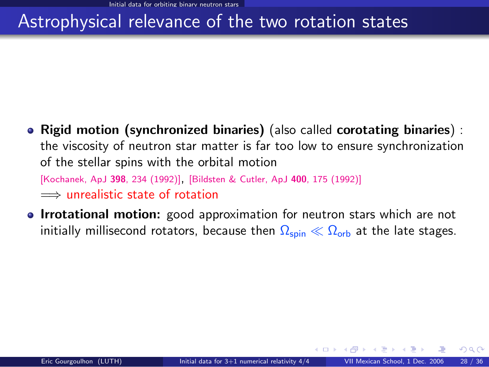### Astrophysical relevance of the two rotation states

• Rigid motion (synchronized binaries) (also called corotating binaries) : the viscosity of neutron star matter is far too low to ensure synchronization of the stellar spins with the orbital motion

[\[Kochanek, ApJ](#page-0-1) <sup>398</sup>, 234 (1992)], [\[Bildsten & Cutler, ApJ](#page-0-1) <sup>400</sup>, 175 (1992)] =⇒ unrealistic state of rotation

• Irrotational motion: good approximation for neutron stars which are not initially millisecond rotators, because then  $\Omega_{\text{spin}} \ll \Omega_{\text{orb}}$  at the late stages.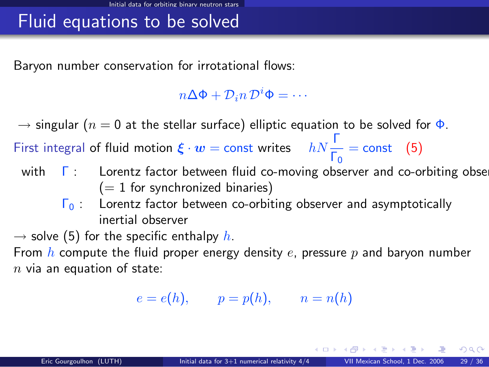### Fluid equations to be solved

Baryon number conservation for irrotational flows:

 $n\Delta\Phi + \mathcal{D}_i n \mathcal{D}^i \Phi = \cdots$ 

 $\rightarrow$  singular ( $n = 0$  at the stellar surface) elliptic equation to be solved for  $\Phi$ .

First integral of fluid motion  $\xi \cdot w = \text{const}$  writes  $hN \frac{\Gamma}{\Gamma_0} = \text{const}$  (5)

- with  $\Gamma$  : Lorentz factor between fluid co-moving observer and co-orbiting obse  $(= 1$  for synchronized binaries)
	- $\Gamma_0$  : Lorentz factor between co-orbiting observer and asymptotically inertial observer

 $\rightarrow$  solve (5) for the specific enthalpy h.

From h compute the fluid proper energy density e, pressure p and baryon number  $n$  via an equation of state:

 $e = e(h), \qquad p = p(h), \qquad n = n(h)$ 

イロト イ何 トイヨ トイヨ トーヨ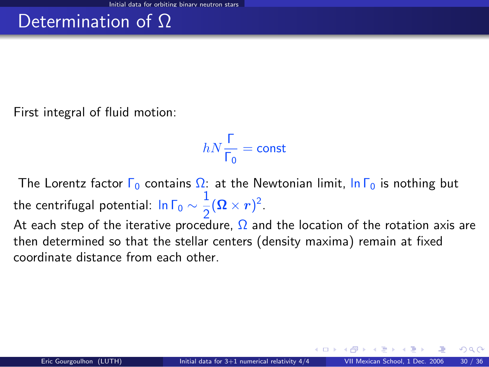First integral of fluid motion:

$$
hN\frac{\Gamma}{\Gamma_0}=\text{const}
$$

The Lorentz factor  $\Gamma_0$  contains  $\Omega$ : at the Newtonian limit,  $\ln \Gamma_0$  is nothing but the centrifugal potential: In Г $_0 \sim \frac{1}{2}$  $\frac{1}{2}(\mathbf{\Omega}\times\mathbf{r})^2$ 

At each step of the iterative procedure,  $\Omega$  and the location of the rotation axis are then determined so that the stellar centers (density maxima) remain at fixed coordinate distance from each other.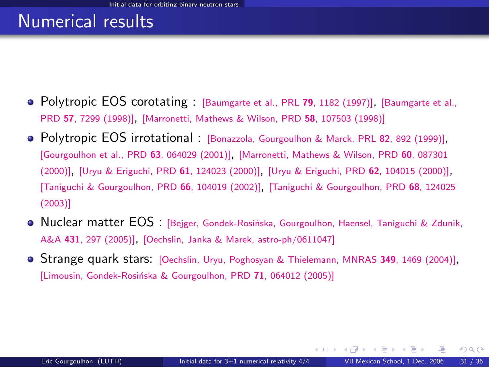### Numerical results

- Polytropic EOS corotating : [\[Baumgarte et al., PRL](http://prola.aps.org/abstract/PRL/v79/i7/p1182_1) 79, 1182 (1997)], [\[Baumgarte et al.,](http://prola.aps.org/abstract/PRD/v57/i12/p7299_1) PRD <sup>57</sup>[, 7299 \(1998\)\]](http://prola.aps.org/abstract/PRD/v57/i12/p7299_1), [\[Marronetti, Mathews & Wilson, PRD](http://publish.aps.org/abstract/PRD/v58/e107503) <sup>58</sup>, 107503 (1998)]
- Polytropic EOS irrotational : [\[Bonazzola, Gourgoulhon & Marck, PRL](http://prola.aps.org/abstract/PRL/v82/i5/p892_1) <sup>82</sup>, 892 (1999)], [\[Gourgoulhon et al., PRD](http://publish.aps.org/abstract/PRD/v63/e064029) <sup>63</sup>, 064029 (2001)], [\[Marronetti, Mathews & Wilson, PRD](http://publish.aps.org/abstract/PRD/v60/e087301) <sup>60</sup>, 087301 [\(2000\)\]](http://publish.aps.org/abstract/PRD/v60/e087301), [\[Uryu & Eriguchi, PRD](http://publish.aps.org/abstract/PRD/v61/e124023) <sup>61</sup>, 124023 (2000)], [\[Uryu & Eriguchi, PRD](http://publish.aps.org/abstract/PRD/v62/e104015) <sup>62</sup>, 104015 (2000)], [\[Taniguchi & Gourgoulhon, PRD](http://publish.aps.org/abstract/PRD/v66/e104019) <sup>66</sup>, 104019 (2002)], [\[Taniguchi & Gourgoulhon, PRD](http://link.aps.org/abstract/PRD/v68/e124025) <sup>68</sup>, 124025 [\(2003\)\]](http://link.aps.org/abstract/PRD/v68/e124025)
- **Nuclear matter EOS** : [Beiger, Gondek-Rosińska, Gourgoulhon, Haensel, Taniguchi & Zdunik, A&A <sup>431</sup>[, 297 \(2005\)\]](http://www.edpsciences.org/10.1051/0004-6361:20041441), [\[Oechslin, Janka & Marek, astro-ph/0611047\]](http://arxiv.org/abs/astro-ph/0611047)
- **Strange quark stars:** [\[Oechslin, Uryu, Poghosyan & Thielemann, MNRAS](#page-0-1) 349, 1469 (2004)], [Limousin, Gondek-Rosińska & Gourgoulhon, PRD 71, 064012 (2005)]

**← ロ ▶ → イ 同**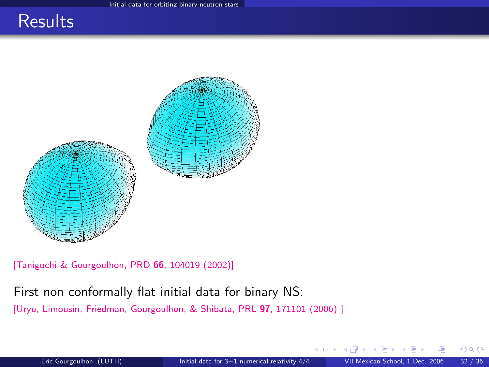### **Results**



[\[Taniguchi & Gourgoulhon, PRD](http://publish.aps.org/abstract/PRD/v66/e104019) 66, 104019 (2002)]

#### First non conformally flat initial data for binary NS:

[\[Uryu, Limousin, Friedman, Gourgoulhon, & Shibata, PRL](#page-0-1) 97, 171101 (2006)]

そロト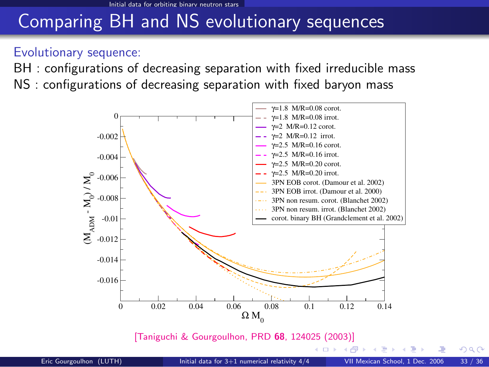### Comparing BH and NS evolutionary sequences

#### Evolutionary sequence:

BH : configurations of decreasing separation with fixed irreducible mass NS : configurations of decreasing separation with fixed baryon mass



[\[Taniguchi & Gourgoulhon, PRD](http://link.aps.org/abstract/PRD/v68/e124025) 68, 124025 (2003)]

<span id="page-32-0"></span> $QQ$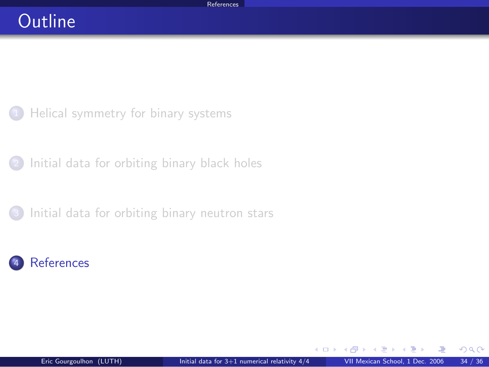### **Outline**

[Helical symmetry for binary systems](#page-2-0)

<sup>2</sup> [Initial data for orbiting binary black holes](#page-8-0)

[Initial data for orbiting binary neutron stars](#page-25-0)

### **[References](#page-33-0)**

不自下

<span id="page-33-0"></span> $\Omega$ 

э  $\sim$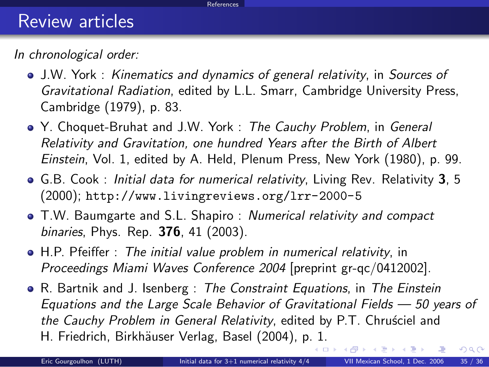#### <span id="page-34-0"></span>References

### Review articles

In chronological order:

- J.W. York : Kinematics and dynamics of general relativity, in Sources of Gravitational Radiation, edited by L.L. Smarr, Cambridge University Press, Cambridge (1979), p. 83.
- Y. Choquet-Bruhat and J.W. York : The Cauchy Problem, in General Relativity and Gravitation, one hundred Years after the Birth of Albert Einstein, Vol. 1, edited by A. Held, Plenum Press, New York (1980), p. 99.
- G.B. Cook: Initial data for numerical relativity, Living Rev. Relativity 3, 5 (2000); <http://www.livingreviews.org/lrr-2000-5>
- T.W. Baumgarte and S.L. Shapiro : Numerical relativity and compact binaries, Phys. Rep. **376**, 41 (2003).
- H.P. Pfeiffer : The initial value problem in numerical relativity, in Proceedings Miami Waves Conference 2004 [preprint gr-qc/0412002].
- R. Bartnik and J. Isenberg : The Constraint Equations, in The Einstein Equations and the Large Scale Behavior of Gravitational Fields — 50 years of the Cauchy Problem in General Relativity, edited by P.T. Chruściel and H. Friedrich, Birkhäuser Verlag, Basel (2004), p[. 1](#page-33-0).